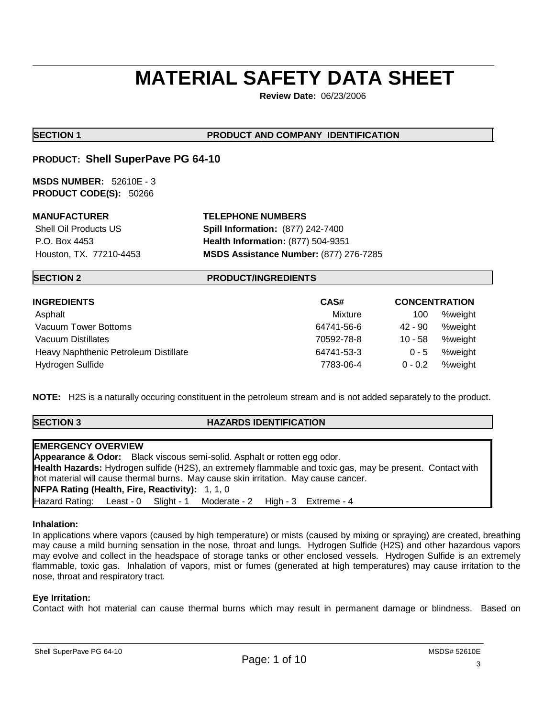# **MATERIAL SAFETY DATA SHEET**

**Review Date:** 06/23/2006

## **SECTION 1 PRODUCT AND COMPANY IDENTIFICATION**

## **PRODUCT: Shell SuperPave PG 64-10**

**MSDS NUMBER:** 52610E - 3 **PRODUCT CODE(S):** 50266

## **MANUFACTURER TELEPHONE NUMBERS**

 Shell Oil Products US **Spill Information:** (877) 242-7400 P.O. Box 4453 **Health Information:** (877) 504-9351 Houston, TX. 77210-4453 **MSDS Assistance Number:** (877) 276-7285

## **SECTION 2 PRODUCT/INGREDIENTS**

| <b>INGREDIENTS</b>                    | CAS#       | <b>CONCENTRATION</b> |         |
|---------------------------------------|------------|----------------------|---------|
| Asphalt                               | Mixture    | 100                  | %weight |
| Vacuum Tower Bottoms                  | 64741-56-6 | 42 - 90              | %weight |
| Vacuum Distillates                    | 70592-78-8 | $10 - 58$            | %weight |
| Heavy Naphthenic Petroleum Distillate | 64741-53-3 | $0 - 5$              | %weight |
| Hydrogen Sulfide                      | 7783-06-4  | $0 - 0.2$            | %weight |

**NOTE:** H2S is a naturally occuring constituent in the petroleum stream and is not added separately to the product.

## **SECTION 3 HAZARDS IDENTIFICATION**

| <b>EMERGENCY OVERVIEW</b>                                                                                  |  |
|------------------------------------------------------------------------------------------------------------|--|
| <b>Appearance &amp; Odor:</b> Black viscous semi-solid. Asphalt or rotten egg odor.                        |  |
| Health Hazards: Hydrogen sulfide (H2S), an extremely flammable and toxic gas, may be present. Contact with |  |
| hot material will cause thermal burns. May cause skin irritation. May cause cancer.                        |  |
| <b>NFPA Rating (Health, Fire, Reactivity): 1, 1, 0</b>                                                     |  |
| Hazard Rating: Least - 0 Slight - 1 Moderate - 2 High - 3 Extreme - 4                                      |  |

## **Inhalation:**

In applications where vapors (caused by high temperature) or mists (caused by mixing or spraying) are created, breathing may cause a mild burning sensation in the nose, throat and lungs. Hydrogen Sulfide (H2S) and other hazardous vapors may evolve and collect in the headspace of storage tanks or other enclosed vessels. Hydrogen Sulfide is an extremely flammable, toxic gas. Inhalation of vapors, mist or fumes (generated at high temperatures) may cause irritation to the nose, throat and respiratory tract.

## **Eye Irritation:**

Contact with hot material can cause thermal burns which may result in permanent damage or blindness. Based on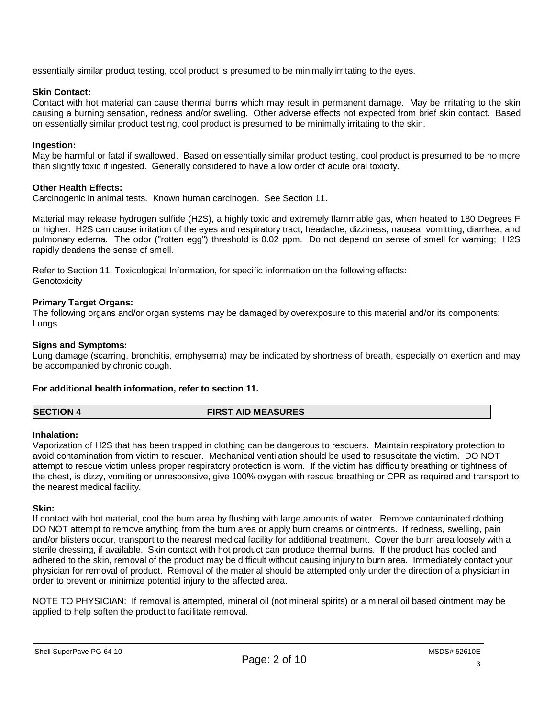essentially similar product testing, cool product is presumed to be minimally irritating to the eyes.

## **Skin Contact:**

Contact with hot material can cause thermal burns which may result in permanent damage. May be irritating to the skin causing a burning sensation, redness and/or swelling. Other adverse effects not expected from brief skin contact. Based on essentially similar product testing, cool product is presumed to be minimally irritating to the skin.

## **Ingestion:**

May be harmful or fatal if swallowed. Based on essentially similar product testing, cool product is presumed to be no more than slightly toxic if ingested. Generally considered to have a low order of acute oral toxicity.

## **Other Health Effects:**

Carcinogenic in animal tests. Known human carcinogen. See Section 11.

Material may release hydrogen sulfide (H2S), a highly toxic and extremely flammable gas, when heated to 180 Degrees F or higher. H2S can cause irritation of the eyes and respiratory tract, headache, dizziness, nausea, vomitting, diarrhea, and pulmonary edema. The odor ("rotten egg") threshold is 0.02 ppm. Do not depend on sense of smell for warning; H2S rapidly deadens the sense of smell.

Refer to Section 11, Toxicological Information, for specific information on the following effects: **Genotoxicity** 

## **Primary Target Organs:**

The following organs and/or organ systems may be damaged by overexposure to this material and/or its components: Lungs

## **Signs and Symptoms:**

Lung damage (scarring, bronchitis, emphysema) may be indicated by shortness of breath, especially on exertion and may be accompanied by chronic cough.

## **For additional health information, refer to section 11.**

**SECTION 4 FIRST AID MEASURES**

## **Inhalation:**

Vaporization of H2S that has been trapped in clothing can be dangerous to rescuers. Maintain respiratory protection to avoid contamination from victim to rescuer. Mechanical ventilation should be used to resuscitate the victim. DO NOT attempt to rescue victim unless proper respiratory protection is worn. If the victim has difficulty breathing or tightness of the chest, is dizzy, vomiting or unresponsive, give 100% oxygen with rescue breathing or CPR as required and transport to the nearest medical facility.

## **Skin:**

If contact with hot material, cool the burn area by flushing with large amounts of water. Remove contaminated clothing. DO NOT attempt to remove anything from the burn area or apply burn creams or ointments. If redness, swelling, pain and/or blisters occur, transport to the nearest medical facility for additional treatment. Cover the burn area loosely with a sterile dressing, if available. Skin contact with hot product can produce thermal burns. If the product has cooled and adhered to the skin, removal of the product may be difficult without causing injury to burn area. Immediately contact your physician for removal of product. Removal of the material should be attempted only under the direction of a physician in order to prevent or minimize potential injury to the affected area.

NOTE TO PHYSICIAN: If removal is attempted, mineral oil (not mineral spirits) or a mineral oil based ointment may be applied to help soften the product to facilitate removal.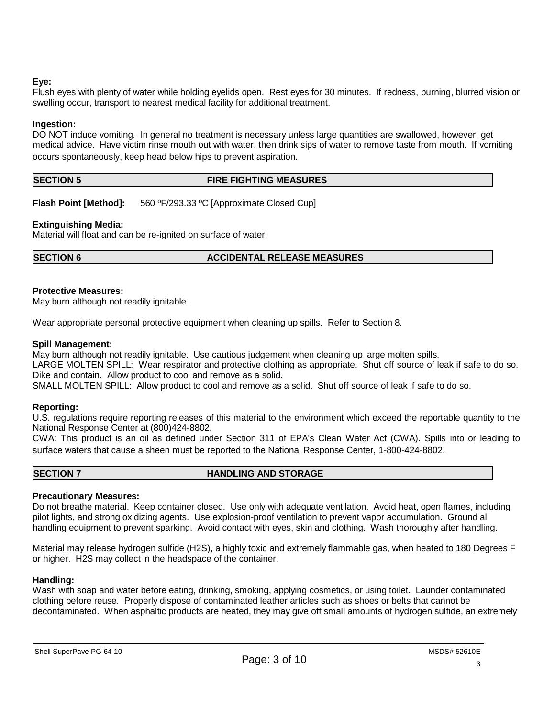## **Eye:**

Flush eyes with plenty of water while holding eyelids open. Rest eyes for 30 minutes. If redness, burning, blurred vision or swelling occur, transport to nearest medical facility for additional treatment.

## **Ingestion:**

DO NOT induce vomiting. In general no treatment is necessary unless large quantities are swallowed, however, get medical advice. Have victim rinse mouth out with water, then drink sips of water to remove taste from mouth. If vomiting occurs spontaneously, keep head below hips to prevent aspiration.

## **SECTION 5 FIRE FIGHTING MEASURES**

**Flash Point [Method]:** 560 ºF/293.33 ºC [Approximate Closed Cup]

## **Extinguishing Media:**

Material will float and can be re-ignited on surface of water.

## **SECTION 6 ACCIDENTAL RELEASE MEASURES**

## **Protective Measures:**

May burn although not readily ignitable.

Wear appropriate personal protective equipment when cleaning up spills. Refer to Section 8.

## **Spill Management:**

May burn although not readily ignitable. Use cautious judgement when cleaning up large molten spills. LARGE MOLTEN SPILL: Wear respirator and protective clothing as appropriate. Shut off source of leak if safe to do so. Dike and contain. Allow product to cool and remove as a solid.

SMALL MOLTEN SPILL: Allow product to cool and remove as a solid. Shut off source of leak if safe to do so.

## **Reporting:**

U.S. regulations require reporting releases of this material to the environment which exceed the reportable quantity to the National Response Center at (800)424-8802.

CWA: This product is an oil as defined under Section 311 of EPA's Clean Water Act (CWA). Spills into or leading to surface waters that cause a sheen must be reported to the National Response Center, 1-800-424-8802.

## **SECTION 7 HANDLING AND STORAGE**

## **Precautionary Measures:**

Do not breathe material. Keep container closed. Use only with adequate ventilation. Avoid heat, open flames, including pilot lights, and strong oxidizing agents. Use explosion-proof ventilation to prevent vapor accumulation. Ground all handling equipment to prevent sparking. Avoid contact with eyes, skin and clothing. Wash thoroughly after handling.

Material may release hydrogen sulfide (H2S), a highly toxic and extremely flammable gas, when heated to 180 Degrees F or higher. H2S may collect in the headspace of the container.

## **Handling:**

Wash with soap and water before eating, drinking, smoking, applying cosmetics, or using toilet. Launder contaminated clothing before reuse. Properly dispose of contaminated leather articles such as shoes or belts that cannot be decontaminated. When asphaltic products are heated, they may give off small amounts of hydrogen sulfide, an extremely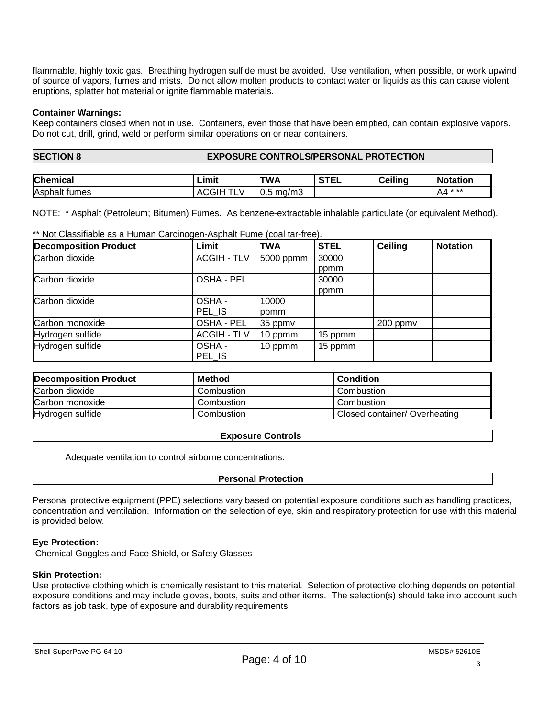flammable, highly toxic gas. Breathing hydrogen sulfide must be avoided. Use ventilation, when possible, or work upwind of source of vapors, fumes and mists. Do not allow molten products to contact water or liquids as this can cause violent eruptions, splatter hot material or ignite flammable materials.

## **Container Warnings:**

Keep containers closed when not in use. Containers, even those that have been emptied, can contain explosive vapors. Do not cut, drill, grind, weld or perform similar operations on or near containers.

## **SECTION 8 EXPOSURE CONTROLS/PERSONAL PROTECTION**

| <b>Chemical</b>      | Limit         | TWA          | CFTI<br>-- | .<br>$\sim$<br>Ceilina<br>◡∊ | <b>Notation</b> |
|----------------------|---------------|--------------|------------|------------------------------|-----------------|
| Asph<br>tumes<br>nar | -AL<br>w<br>- | ma/m3<br>◡.◡ |            |                              | * **<br>A4      |

NOTE: \* Asphalt (Petroleum; Bitumen) Fumes. As benzene-extractable inhalable particulate (or equivalent Method).

\*\* Not Classifiable as a Human Carcinogen-Asphalt Fume (coal tar-free).

| <b>Decomposition Product</b> | Limit              | <b>TWA</b> | <b>STEL</b> | Ceiling  | <b>Notation</b> |
|------------------------------|--------------------|------------|-------------|----------|-----------------|
| Carbon dioxide               | <b>ACGIH - TLV</b> | 5000 ppmm  | 30000       |          |                 |
|                              |                    |            | ppmm        |          |                 |
| Carbon dioxide               | OSHA - PEL         |            | 30000       |          |                 |
|                              |                    |            | ppmm        |          |                 |
| Carbon dioxide               | OSHA-              | 10000      |             |          |                 |
|                              | PEL IS             | ppmm       |             |          |                 |
| Carbon monoxide              | OSHA - PEL         | 35 ppmv    |             | 200 ppmv |                 |
| Hydrogen sulfide             | <b>ACGIH - TLV</b> | 10 ppmm    | 15 ppmm     |          |                 |
| Hydrogen sulfide             | OSHA-<br>PEL IS    | 10 ppmm    | 15 ppmm     |          |                 |

| <b>Decomposition Product</b> | Method     | <b>Condition</b>              |
|------------------------------|------------|-------------------------------|
| Carbon dioxide               | Combustion | Combustion                    |
| Carbon monoxide              | Combustion | Combustion                    |
| Hydrogen sulfide             | Combustion | Closed container/ Overheating |

## **Exposure Controls**

Adequate ventilation to control airborne concentrations.

## **Personal Protection**

Personal protective equipment (PPE) selections vary based on potential exposure conditions such as handling practices, concentration and ventilation. Information on the selection of eye, skin and respiratory protection for use with this material is provided below.

## **Eye Protection:**

Chemical Goggles and Face Shield, or Safety Glasses

## **Skin Protection:**

Use protective clothing which is chemically resistant to this material. Selection of protective clothing depends on potential exposure conditions and may include gloves, boots, suits and other items. The selection(s) should take into account such factors as job task, type of exposure and durability requirements.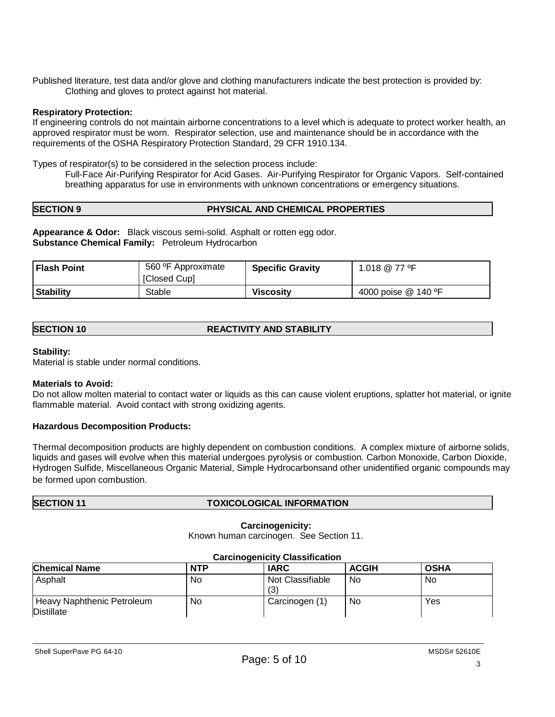Published literature, test data and/or glove and clothing manufacturers indicate the best protection is provided by: Clothing and gloves to protect against hot material.

## **Respiratory Protection:**

If engineering controls do not maintain airborne concentrations to a level which is adequate to protect worker health, an approved respirator must be worn. Respirator selection, use and maintenance should be in accordance with the requirements of the OSHA Respiratory Protection Standard, 29 CFR 1910.134.

Types of respirator(s) to be considered in the selection process include:

Full-Face Air-Purifying Respirator for Acid Gases. Air-Purifying Respirator for Organic Vapors. Self-contained breathing apparatus for use in environments with unknown concentrations or emergency situations.

## **SECTION 9 PHYSICAL AND CHEMICAL PROPERTIES**

**Appearance & Odor:** Black viscous semi-solid. Asphalt or rotten egg odor. **Substance Chemical Family:** Petroleum Hydrocarbon

| <b>Flash Point</b> | 560 °F Approximate<br>[Closed Cup] | <b>Specific Gravity</b> | 1.018 @ 77 ºF       |
|--------------------|------------------------------------|-------------------------|---------------------|
| <b>Stability</b>   | Stable                             | <b>Viscosity</b>        | 4000 poise @ 140 °F |

|  | <b>SECTION 10</b> | <b>REACTIVITY AND STABILITY</b> |
|--|-------------------|---------------------------------|
|--|-------------------|---------------------------------|

## **Stability:**

Material is stable under normal conditions.

## **Materials to Avoid:**

Do not allow molten material to contact water or liquids as this can cause violent eruptions, splatter hot material, or ignite flammable material. Avoid contact with strong oxidizing agents.

## **Hazardous Decomposition Products:**

Thermal decomposition products are highly dependent on combustion conditions. A complex mixture of airborne solids, liquids and gases will evolve when this material undergoes pyrolysis or combustion. Carbon Monoxide, Carbon Dioxide, Hydrogen Sulfide, Miscellaneous Organic Material, Simple Hydrocarbonsand other unidentified organic compounds may be formed upon combustion.

## **SECTION 11 TOXICOLOGICAL INFORMATION**

## **Carcinogenicity:**

Known human carcinogen. See Section 11.

| Gardinogenicity Glassification                  |            |                         |              |             |  |
|-------------------------------------------------|------------|-------------------------|--------------|-------------|--|
| <b>Chemical Name</b>                            | <b>NTP</b> | <b>IARC</b>             | <b>ACGIH</b> | <b>OSHA</b> |  |
| Asphalt                                         | No         | Not Classifiable<br>(3) | No.          | No          |  |
| Heavy Naphthenic Petroleum<br><b>Distillate</b> | No         | Carcinogen (1)          | No           | Yes         |  |

## **Carcinogenicity Classification**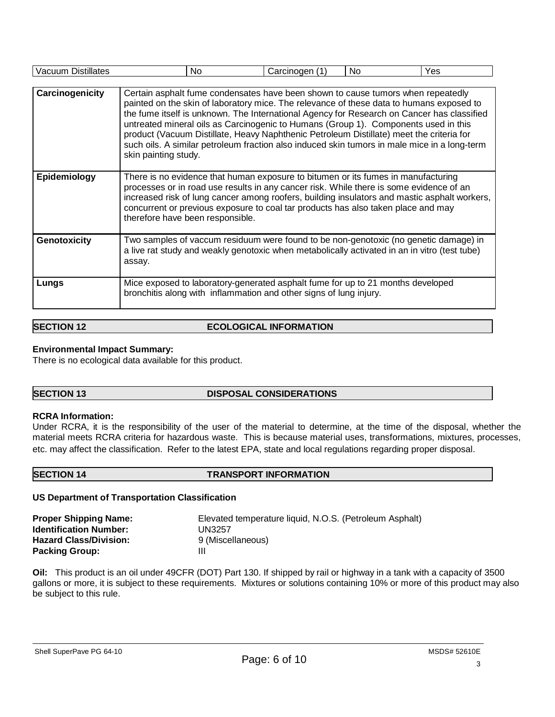| <b>Vacuum Distillates</b> | No.                                                                                                                                                                                                                                                                                                                                                                                                                                                                                                                                                                                   | Carcinogen (1) | No. | Yes |
|---------------------------|---------------------------------------------------------------------------------------------------------------------------------------------------------------------------------------------------------------------------------------------------------------------------------------------------------------------------------------------------------------------------------------------------------------------------------------------------------------------------------------------------------------------------------------------------------------------------------------|----------------|-----|-----|
|                           |                                                                                                                                                                                                                                                                                                                                                                                                                                                                                                                                                                                       |                |     |     |
| Carcinogenicity           | Certain asphalt fume condensates have been shown to cause tumors when repeatedly<br>painted on the skin of laboratory mice. The relevance of these data to humans exposed to<br>the fume itself is unknown. The International Agency for Research on Cancer has classified<br>untreated mineral oils as Carcinogenic to Humans (Group 1). Components used in this<br>product (Vacuum Distillate, Heavy Naphthenic Petroleum Distillate) meet the criteria for<br>such oils. A similar petroleum fraction also induced skin tumors in male mice in a long-term<br>skin painting study. |                |     |     |
| Epidemiology              | There is no evidence that human exposure to bitumen or its fumes in manufacturing<br>processes or in road use results in any cancer risk. While there is some evidence of an<br>increased risk of lung cancer among roofers, building insulators and mastic asphalt workers,<br>concurrent or previous exposure to coal tar products has also taken place and may<br>therefore have been responsible.                                                                                                                                                                                 |                |     |     |
| Genotoxicity              | Two samples of vaccum residuum were found to be non-genotoxic (no genetic damage) in<br>a live rat study and weakly genotoxic when metabolically activated in an in vitro (test tube)<br>assay.                                                                                                                                                                                                                                                                                                                                                                                       |                |     |     |
| Lungs                     | Mice exposed to laboratory-generated asphalt fume for up to 21 months developed<br>bronchitis along with inflammation and other signs of lung injury.                                                                                                                                                                                                                                                                                                                                                                                                                                 |                |     |     |

## **SECTION 12 ECOLOGICAL INFORMATION**

## **Environmental Impact Summary:**

There is no ecological data available for this product.

## **SECTION 13 DISPOSAL CONSIDERATIONS**

## **RCRA Information:**

Under RCRA, it is the responsibility of the user of the material to determine, at the time of the disposal, whether the material meets RCRA criteria for hazardous waste. This is because material uses, transformations, mixtures, processes, etc. may affect the classification. Refer to the latest EPA, state and local regulations regarding proper disposal.

## **SECTION 14 TRANSPORT INFORMATION**

## **US Department of Transportation Classification**

| <b>Proper Shipping Name:</b>  | Elevated temperature liquid, N.O.S. (Petroleum Asphalt) |
|-------------------------------|---------------------------------------------------------|
| <b>Identification Number:</b> | UN3257                                                  |
| <b>Hazard Class/Division:</b> | 9 (Miscellaneous)                                       |
| <b>Packing Group:</b>         | Ш                                                       |

**Oil:** This product is an oil under 49CFR (DOT) Part 130. If shipped by rail or highway in a tank with a capacity of 3500 gallons or more, it is subject to these requirements. Mixtures or solutions containing 10% or more of this product may also be subject to this rule.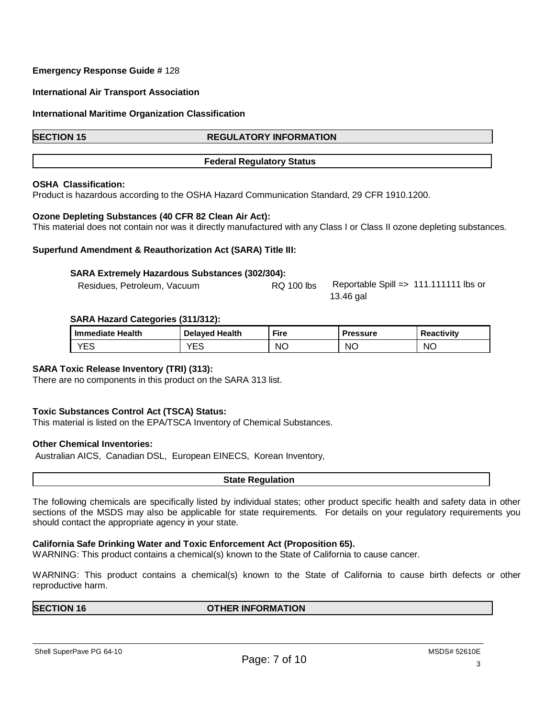## **Emergency Response Guide #** 128

## **International Air Transport Association**

## **International Maritime Organization Classification**

## **SECTION 15 REGULATORY INFORMATION**

## **Federal Regulatory Status**

## **OSHA Classification:**

Product is hazardous according to the OSHA Hazard Communication Standard, 29 CFR 1910.1200.

## **Ozone Depleting Substances (40 CFR 82 Clean Air Act):**

This material does not contain nor was it directly manufactured with any Class I or Class II ozone depleting substances.

## **Superfund Amendment & Reauthorization Act (SARA) Title III:**

## **SARA Extremely Hazardous Substances (302/304):**

| Residues, Petroleum, Vacuum | RQ 100 lbs | Reportable Spill = $> 111.111111$ lbs or |  |
|-----------------------------|------------|------------------------------------------|--|
|                             |            | 13.46 gal                                |  |

## **SARA Hazard Categories (311/312):**

| I Immediate Health | <b>Delaved Health</b> | <b>Fire</b> | <b>Pressure</b> | <b>Reactivity</b> |
|--------------------|-----------------------|-------------|-----------------|-------------------|
| VES<br>└           | VEC.<br>⊏ບ            | <b>NO</b>   | ΝC              | <b>NO</b>         |

## **SARA Toxic Release Inventory (TRI) (313):**

There are no components in this product on the SARA 313 list.

## **Toxic Substances Control Act (TSCA) Status:**

This material is listed on the EPA/TSCA Inventory of Chemical Substances.

## **Other Chemical Inventories:**

Australian AICS, Canadian DSL, European EINECS, Korean Inventory,

**State Regulation**

The following chemicals are specifically listed by individual states; other product specific health and safety data in other sections of the MSDS may also be applicable for state requirements. For details on your regulatory requirements you should contact the appropriate agency in your state.

## **California Safe Drinking Water and Toxic Enforcement Act (Proposition 65).**

WARNING: This product contains a chemical(s) known to the State of California to cause cancer.

WARNING: This product contains a chemical(s) known to the State of California to cause birth defects or other reproductive harm.

**SECTION 16 OTHER INFORMATION** 

Shell SuperPave PG 64-10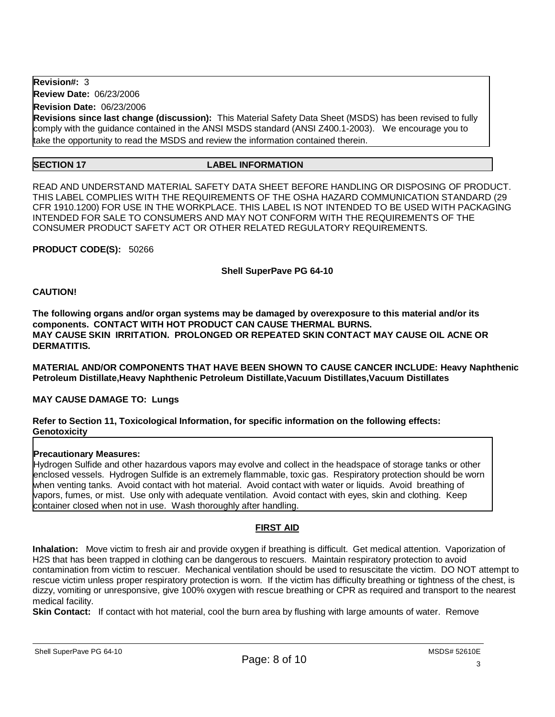**Revision#:** 3

**Review Date:** 06/23/2006

**Revision Date:** 06/23/2006

**Revisions since last change (discussion):** This Material Safety Data Sheet (MSDS) has been revised to fully comply with the guidance contained in the ANSI MSDS standard (ANSI Z400.1-2003). We encourage you to take the opportunity to read the MSDS and review the information contained therein.

## **SECTION 17 LABEL INFORMATION**

READ AND UNDERSTAND MATERIAL SAFETY DATA SHEET BEFORE HANDLING OR DISPOSING OF PRODUCT. THIS LABEL COMPLIES WITH THE REQUIREMENTS OF THE OSHA HAZARD COMMUNICATION STANDARD (29 CFR 1910.1200) FOR USE IN THE WORKPLACE. THIS LABEL IS NOT INTENDED TO BE USED WITH PACKAGING INTENDED FOR SALE TO CONSUMERS AND MAY NOT CONFORM WITH THE REQUIREMENTS OF THE CONSUMER PRODUCT SAFETY ACT OR OTHER RELATED REGULATORY REQUIREMENTS.

**PRODUCT CODE(S):** 50266

## **Shell SuperPave PG 64-10**

## **CAUTION!**

**The following organs and/or organ systems may be damaged by overexposure to this material and/or its components. CONTACT WITH HOT PRODUCT CAN CAUSE THERMAL BURNS. MAY CAUSE SKIN IRRITATION. PROLONGED OR REPEATED SKIN CONTACT MAY CAUSE OIL ACNE OR DERMATITIS.**

**MATERIAL AND/OR COMPONENTS THAT HAVE BEEN SHOWN TO CAUSE CANCER INCLUDE: Heavy Naphthenic Petroleum Distillate,Heavy Naphthenic Petroleum Distillate,Vacuum Distillates,Vacuum Distillates**

## **MAY CAUSE DAMAGE TO: Lungs**

## **Refer to Section 11, Toxicological Information, for specific information on the following effects: Genotoxicity**

## **Precautionary Measures:**

Hydrogen Sulfide and other hazardous vapors may evolve and collect in the headspace of storage tanks or other enclosed vessels. Hydrogen Sulfide is an extremely flammable, toxic gas. Respiratory protection should be worn when venting tanks. Avoid contact with hot material. Avoid contact with water or liquids. Avoid breathing of vapors, fumes, or mist. Use only with adequate ventilation. Avoid contact with eyes, skin and clothing. Keep container closed when not in use. Wash thoroughly after handling.

## **FIRST AID**

**Inhalation:** Move victim to fresh air and provide oxygen if breathing is difficult. Get medical attention. Vaporization of H2S that has been trapped in clothing can be dangerous to rescuers. Maintain respiratory protection to avoid contamination from victim to rescuer. Mechanical ventilation should be used to resuscitate the victim. DO NOT attempt to rescue victim unless proper respiratory protection is worn. If the victim has difficulty breathing or tightness of the chest, is dizzy, vomiting or unresponsive, give 100% oxygen with rescue breathing or CPR as required and transport to the nearest medical facility.

**Skin Contact:** If contact with hot material, cool the burn area by flushing with large amounts of water. Remove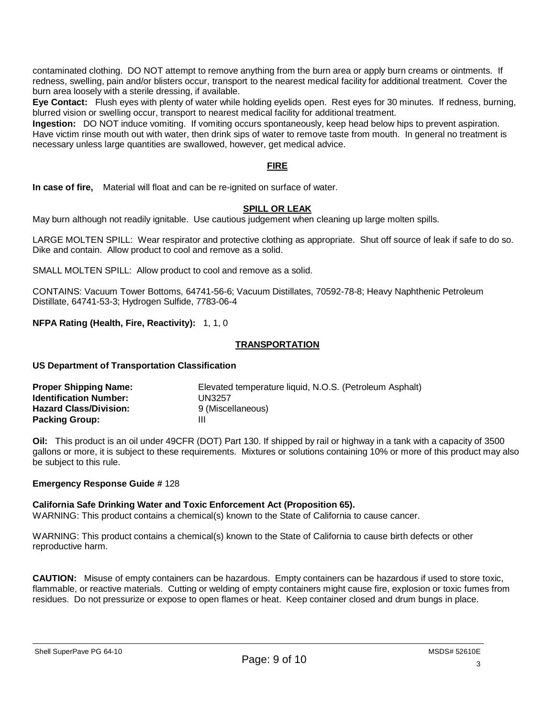contaminated clothing. DO NOT attempt to remove anything from the burn area or apply burn creams or ointments. If redness, swelling, pain and/or blisters occur, transport to the nearest medical facility for additional treatment. Cover the burn area loosely with a sterile dressing, if available.

**Eye Contact:** Flush eyes with plenty of water while holding eyelids open. Rest eyes for 30 minutes. If redness, burning, blurred vision or swelling occur, transport to nearest medical facility for additional treatment.

**Ingestion:** DO NOT induce vomiting. If vomiting occurs spontaneously, keep head below hips to prevent aspiration. Have victim rinse mouth out with water, then drink sips of water to remove taste from mouth. In general no treatment is necessary unless large quantities are swallowed, however, get medical advice.

## **FIRE**

**In case of fire,** Material will float and can be re-ignited on surface of water.

## **SPILL OR LEAK**

May burn although not readily ignitable. Use cautious judgement when cleaning up large molten spills.

LARGE MOLTEN SPILL: Wear respirator and protective clothing as appropriate. Shut off source of leak if safe to do so. Dike and contain. Allow product to cool and remove as a solid.

SMALL MOLTEN SPILL: Allow product to cool and remove as a solid.

CONTAINS: Vacuum Tower Bottoms, 64741-56-6; Vacuum Distillates, 70592-78-8; Heavy Naphthenic Petroleum Distillate, 64741-53-3; Hydrogen Sulfide, 7783-06-4

**NFPA Rating (Health, Fire, Reactivity):** 1, 1, 0

## **TRANSPORTATION**

**US Department of Transportation Classification**

| <b>Proper Shipping Name:</b>  | Elevated temperature liquid, N.O.S. (Petroleum Asphalt) |
|-------------------------------|---------------------------------------------------------|
| <b>Identification Number:</b> | UN3257                                                  |
| <b>Hazard Class/Division:</b> | 9 (Miscellaneous)                                       |
| <b>Packing Group:</b>         | Ш                                                       |

**Oil:** This product is an oil under 49CFR (DOT) Part 130. If shipped by rail or highway in a tank with a capacity of 3500 gallons or more, it is subject to these requirements. Mixtures or solutions containing 10% or more of this product may also be subject to this rule.

## **Emergency Response Guide #** 128

## **California Safe Drinking Water and Toxic Enforcement Act (Proposition 65).**

WARNING: This product contains a chemical(s) known to the State of California to cause cancer.

WARNING: This product contains a chemical(s) known to the State of California to cause birth defects or other reproductive harm.

**CAUTION:** Misuse of empty containers can be hazardous. Empty containers can be hazardous if used to store toxic, flammable, or reactive materials. Cutting or welding of empty containers might cause fire, explosion or toxic fumes from residues. Do not pressurize or expose to open flames or heat. Keep container closed and drum bungs in place.